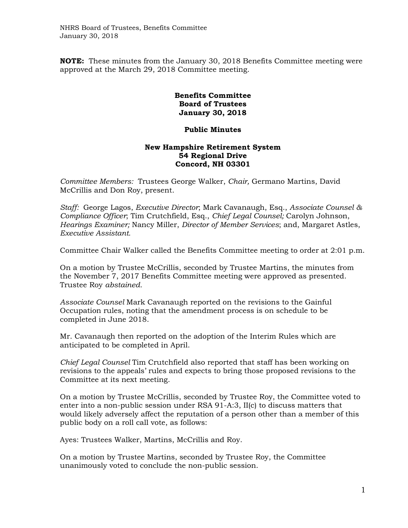**NOTE:** These minutes from the January 30, 2018 Benefits Committee meeting were approved at the March 29, 2018 Committee meeting.

## **Benefits Committee Board of Trustees January 30, 2018**

## **Public Minutes**

## **New Hampshire Retirement System 54 Regional Drive Concord, NH 03301**

*Committee Members:* Trustees George Walker, *Chair,* Germano Martins, David McCrillis and Don Roy, present.

*Staff:* George Lagos, *Executive Director*; Mark Cavanaugh, Esq., *Associate Counsel & Compliance Officer*; Tim Crutchfield, Esq., *Chief Legal Counsel;* Carolyn Johnson, *Hearings Examiner;* Nancy Miller, *Director of Member Services*; and, Margaret Astles, *Executive Assistant.*

Committee Chair Walker called the Benefits Committee meeting to order at 2:01 p.m.

On a motion by Trustee McCrillis, seconded by Trustee Martins, the minutes from the November 7, 2017 Benefits Committee meeting were approved as presented. Trustee Roy *abstained.*

*Associate Counsel* Mark Cavanaugh reported on the revisions to the Gainful Occupation rules, noting that the amendment process is on schedule to be completed in June 2018.

Mr. Cavanaugh then reported on the adoption of the Interim Rules which are anticipated to be completed in April.

*Chief Legal Counsel* Tim Crutchfield also reported that staff has been working on revisions to the appeals' rules and expects to bring those proposed revisions to the Committee at its next meeting.

On a motion by Trustee McCrillis, seconded by Trustee Roy, the Committee voted to enter into a non-public session under RSA 91-A:3, II(c) to discuss matters that would likely adversely affect the reputation of a person other than a member of this public body on a roll call vote, as follows:

Ayes: Trustees Walker, Martins, McCrillis and Roy.

On a motion by Trustee Martins, seconded by Trustee Roy, the Committee unanimously voted to conclude the non-public session.